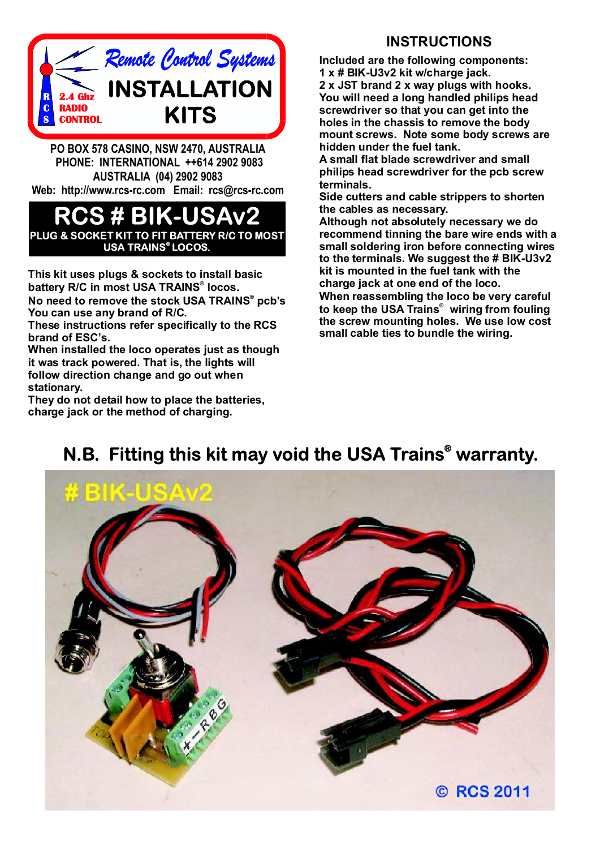

**PO BOX 578 CASINO, NSW 2470, AUSTRALIA PHONE: INTERNATIONAL ++614 2902 9083 AUSTRALIA (04) 2902 9083 Web: http://www.rcs-rc.com Email: rcs@rcs-rc.com**

## **BIKEL PLUG & SOCKET KIT TO FIT BATTERY R/C TO MOST USA TRAINS LOCOS. ®**

**This kit uses plugs & sockets to install basic** battery R/C in most USA TRAINS® locos.  $\bm{\mathsf{No}}$  need to remove the stock USA TRAINS® pcb's **You can use any brand of R/C.**

**These instructions refer specifically to the RCS brand of ESC's.**

**When installed the loco operates just as though it was track powered. That is, the lights will follow direction change and go out when stationary.**

**They do not detail how to place the batteries, charge jack or the method of charging.**

## **INSTRUCTIONS**

**Included are the following components: 1 x # BIK-U3v2 kit w/charge jack. 2 x JST brand 2 x way plugs with hooks. You will need a long handled philips head screwdriver so that you can get into the holes in the chassis to remove the body mount screws. Note some body screws are hidden under the fuel tank.**

**A small flat blade screwdriver and small philips head screwdriver for the pcb screw terminals.**

**Side cutters and cable strippers to shorten the cables as necessary.**

**Although not absolutely necessary we do recommend tinning the bare wire ends with a small soldering iron before connecting wires to the terminals. We suggest the # BIK-U3v2 kit is mounted in the fuel tank with the charge jack at one end of the loco.**

**When reassembling the loco be very careful** to keep the USA Trains<sup>®</sup> wiring from fouling **the screw mounting holes. We use low cost small cable ties to bundle the wiring.**

## **N.B. Fitting this kit may void the USA Trains<sup>®</sup> warranty.**